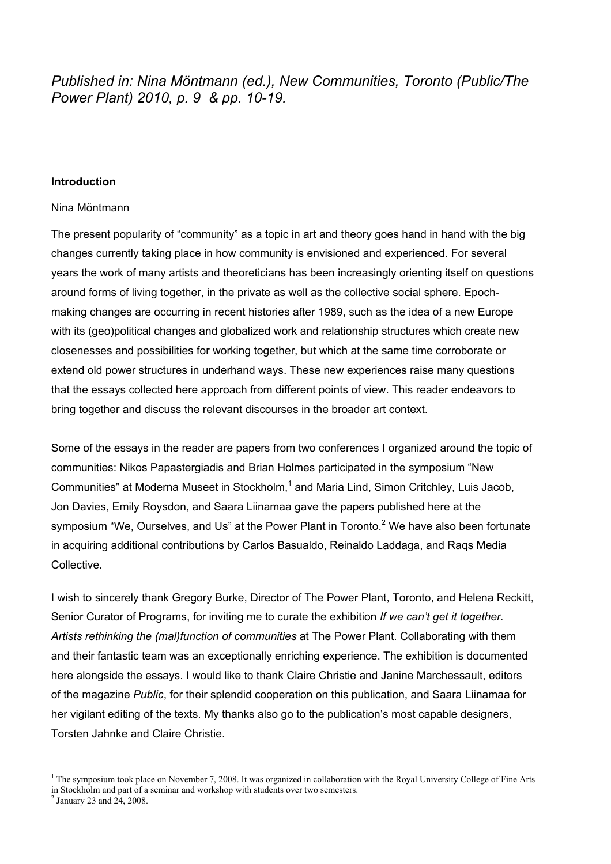*Published in: Nina Möntmann (ed.), New Communities, Toronto (Public/The Power Plant) 2010, p. 9 & pp. 10-19.*

#### **Introduction**

#### Nina Möntmann

The present popularity of "community" as a topic in art and theory goes hand in hand with the big changes currently taking place in how community is envisioned and experienced. For several years the work of many artists and theoreticians has been increasingly orienting itself on questions around forms of living together, in the private as well as the collective social sphere. Epochmaking changes are occurring in recent histories after 1989, such as the idea of a new Europe with its (geo)political changes and globalized work and relationship structures which create new closenesses and possibilities for working together, but which at the same time corroborate or extend old power structures in underhand ways. These new experiences raise many questions that the essays collected here approach from different points of view. This reader endeavors to bring together and discuss the relevant discourses in the broader art context.

Some of the essays in the reader are papers from two conferences I organized around the topic of communities: Nikos Papastergiadis and Brian Holmes participated in the symposium "New Communities" at Moderna Museet in Stockholm,<sup>1</sup> and Maria Lind, Simon Critchley, Luis Jacob, Jon Davies, Emily Roysdon, and Saara Liinamaa gave the papers published here at the symposium "We, Ourselves, and Us" at the Power Plant in Toronto.<sup>2</sup> We have also been fortunate in acquiring additional contributions by Carlos Basualdo, Reinaldo Laddaga, and Raqs Media Collective.

I wish to sincerely thank Gregory Burke, Director of The Power Plant, Toronto, and Helena Reckitt, Senior Curator of Programs, for inviting me to curate the exhibition *If we can't get it together. Artists rethinking the (mal)function of communities* at The Power Plant. Collaborating with them and their fantastic team was an exceptionally enriching experience. The exhibition is documented here alongside the essays. I would like to thank Claire Christie and Janine Marchessault, editors of the magazine *Public*, for their splendid cooperation on this publication, and Saara Liinamaa for her vigilant editing of the texts. My thanks also go to the publication's most capable designers, Torsten Jahnke and Claire Christie.

<sup>|&</sup>lt;br>|<br>|  $1$  The symposium took place on November 7, 2008. It was organized in collaboration with the Royal University College of Fine Arts in Stockholm and part of a seminar and workshop with students over two semesters. 2 January 23 and 24, 2008.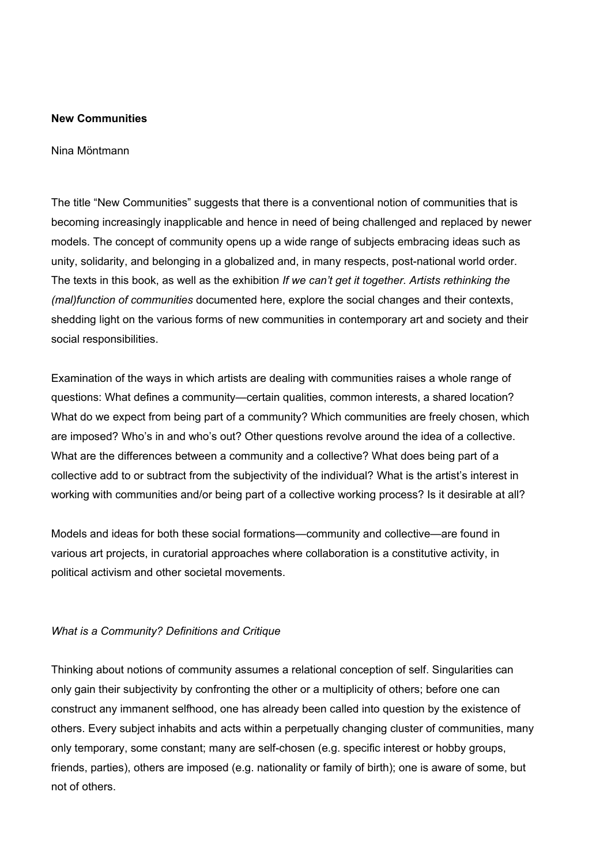## **New Communities**

#### Nina Möntmann

The title "New Communities" suggests that there is a conventional notion of communities that is becoming increasingly inapplicable and hence in need of being challenged and replaced by newer models. The concept of community opens up a wide range of subjects embracing ideas such as unity, solidarity, and belonging in a globalized and, in many respects, post-national world order. The texts in this book, as well as the exhibition *If we can't get it together. Artists rethinking the (mal)function of communities* documented here, explore the social changes and their contexts, shedding light on the various forms of new communities in contemporary art and society and their social responsibilities.

Examination of the ways in which artists are dealing with communities raises a whole range of questions: What defines a community—certain qualities, common interests, a shared location? What do we expect from being part of a community? Which communities are freely chosen, which are imposed? Who's in and who's out? Other questions revolve around the idea of a collective. What are the differences between a community and a collective? What does being part of a collective add to or subtract from the subjectivity of the individual? What is the artist's interest in working with communities and/or being part of a collective working process? Is it desirable at all?

Models and ideas for both these social formations—community and collective—are found in various art projects, in curatorial approaches where collaboration is a constitutive activity, in political activism and other societal movements.

## *What is a Community? Definitions and Critique*

Thinking about notions of community assumes a relational conception of self. Singularities can only gain their subjectivity by confronting the other or a multiplicity of others; before one can construct any immanent selfhood, one has already been called into question by the existence of others. Every subject inhabits and acts within a perpetually changing cluster of communities, many only temporary, some constant; many are self-chosen (e.g. specific interest or hobby groups, friends, parties), others are imposed (e.g. nationality or family of birth); one is aware of some, but not of others.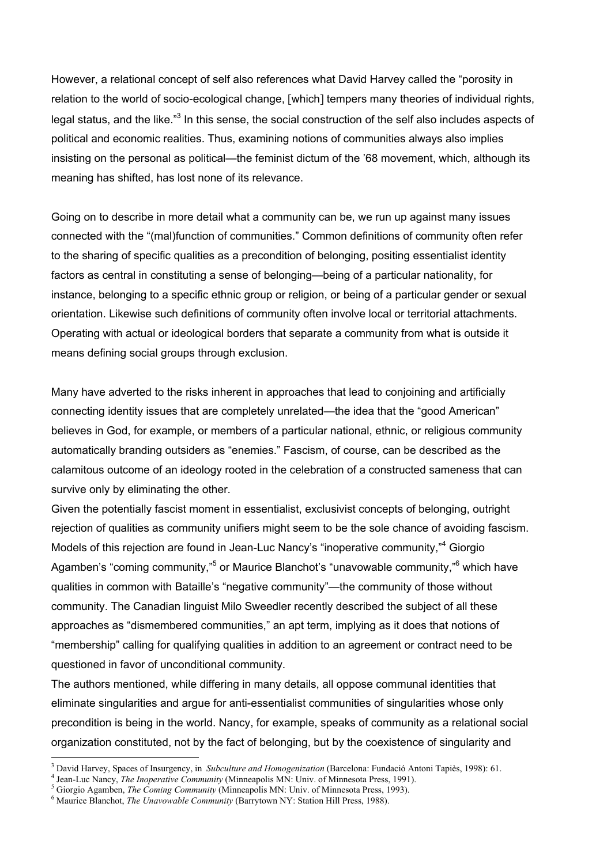However, a relational concept of self also references what David Harvey called the "porosity in relation to the world of socio-ecological change, [which] tempers many theories of individual rights, legal status, and the like."<sup>3</sup> In this sense, the social construction of the self also includes aspects of political and economic realities. Thus, examining notions of communities always also implies insisting on the personal as political—the feminist dictum of the '68 movement, which, although its meaning has shifted, has lost none of its relevance.

Going on to describe in more detail what a community can be, we run up against many issues connected with the "(mal)function of communities." Common definitions of community often refer to the sharing of specific qualities as a precondition of belonging, positing essentialist identity factors as central in constituting a sense of belonging—being of a particular nationality, for instance, belonging to a specific ethnic group or religion, or being of a particular gender or sexual orientation. Likewise such definitions of community often involve local or territorial attachments. Operating with actual or ideological borders that separate a community from what is outside it means defining social groups through exclusion.

Many have adverted to the risks inherent in approaches that lead to conjoining and artificially connecting identity issues that are completely unrelated—the idea that the "good American" believes in God, for example, or members of a particular national, ethnic, or religious community automatically branding outsiders as "enemies." Fascism, of course, can be described as the calamitous outcome of an ideology rooted in the celebration of a constructed sameness that can survive only by eliminating the other.

Given the potentially fascist moment in essentialist, exclusivist concepts of belonging, outright rejection of qualities as community unifiers might seem to be the sole chance of avoiding fascism. Models of this rejection are found in Jean-Luc Nancy's "inoperative community,"<sup>4</sup> Giorgio Agamben's "coming community,"<sup>5</sup> or Maurice Blanchot's "unavowable community,"<sup>6</sup> which have qualities in common with Bataille's "negative community"—the community of those without community. The Canadian linguist Milo Sweedler recently described the subject of all these approaches as "dismembered communities," an apt term, implying as it does that notions of "membership" calling for qualifying qualities in addition to an agreement or contract need to be questioned in favor of unconditional community.

The authors mentioned, while differing in many details, all oppose communal identities that eliminate singularities and argue for anti-essentialist communities of singularities whose only precondition is being in the world. Nancy, for example, speaks of community as a relational social organization constituted, not by the fact of belonging, but by the coexistence of singularity and

 $\frac{1}{3}$ David Harvey, Spaces of Insurgency, in *Subculture and Homogenization* (Barcelona: Fundació Antoni Tapiès, 1998): 61. <sup>4</sup>

<sup>&</sup>lt;sup>4</sup> Jean-Luc Nancy, *The Inoperative Community* (Minneapolis MN: Univ. of Minnesota Press, 1991).

Giorgio Agamben, *The Coming Community* (Minneapolis MN: Univ. of Minnesota Press, 1993). <sup>6</sup>

<sup>&</sup>lt;sup>6</sup> Maurice Blanchot, *The Unavowable Community* (Barrytown NY: Station Hill Press, 1988).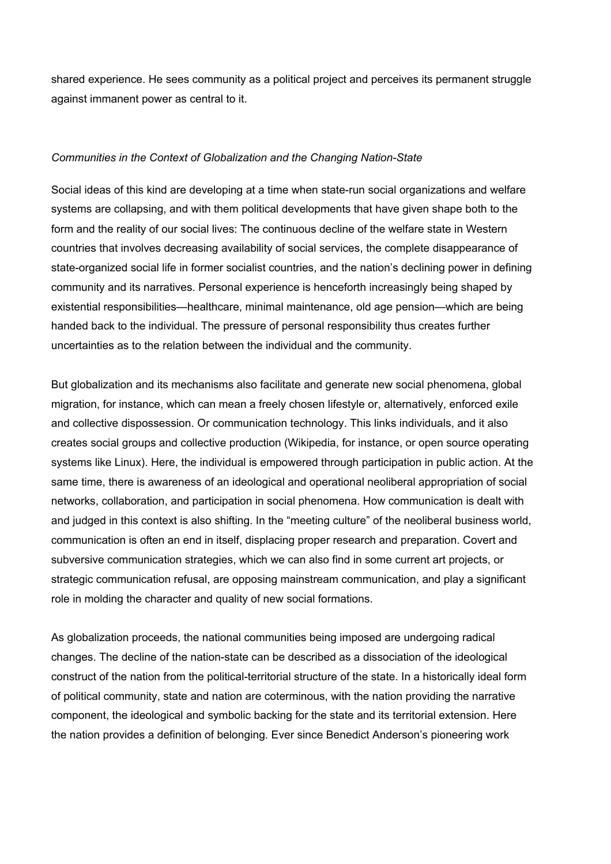shared experience. He sees community as a political project and perceives its permanent struggle against immanent power as central to it.

## *Communities in the Context of Globalization and the Changing Nation-State*

Social ideas of this kind are developing at a time when state-run social organizations and welfare systems are collapsing, and with them political developments that have given shape both to the form and the reality of our social lives: The continuous decline of the welfare state in Western countries that involves decreasing availability of social services, the complete disappearance of state-organized social life in former socialist countries, and the nation's declining power in defining community and its narratives. Personal experience is henceforth increasingly being shaped by existential responsibilities—healthcare, minimal maintenance, old age pension—which are being handed back to the individual. The pressure of personal responsibility thus creates further uncertainties as to the relation between the individual and the community.

But globalization and its mechanisms also facilitate and generate new social phenomena, global migration, for instance, which can mean a freely chosen lifestyle or, alternatively, enforced exile and collective dispossession. Or communication technology. This links individuals, and it also creates social groups and collective production (Wikipedia, for instance, or open source operating systems like Linux). Here, the individual is empowered through participation in public action. At the same time, there is awareness of an ideological and operational neoliberal appropriation of social networks, collaboration, and participation in social phenomena. How communication is dealt with and judged in this context is also shifting. In the "meeting culture" of the neoliberal business world, communication is often an end in itself, displacing proper research and preparation. Covert and subversive communication strategies, which we can also find in some current art projects, or strategic communication refusal, are opposing mainstream communication, and play a significant role in molding the character and quality of new social formations.

As globalization proceeds, the national communities being imposed are undergoing radical changes. The decline of the nation-state can be described as a dissociation of the ideological construct of the nation from the political-territorial structure of the state. In a historically ideal form of political community, state and nation are coterminous, with the nation providing the narrative component, the ideological and symbolic backing for the state and its territorial extension. Here the nation provides a definition of belonging. Ever since Benedict Anderson's pioneering work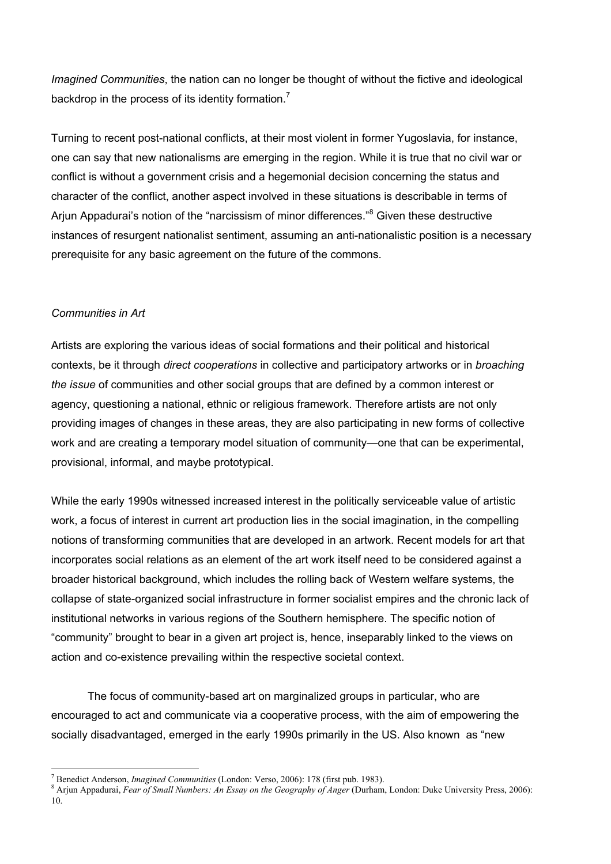*Imagined Communities*, the nation can no longer be thought of without the fictive and ideological backdrop in the process of its identity formation.<sup>7</sup>

Turning to recent post-national conflicts, at their most violent in former Yugoslavia, for instance, one can say that new nationalisms are emerging in the region. While it is true that no civil war or conflict is without a government crisis and a hegemonial decision concerning the status and character of the conflict, another aspect involved in these situations is describable in terms of Arjun Appadurai's notion of the "narcissism of minor differences."<sup>8</sup> Given these destructive instances of resurgent nationalist sentiment, assuming an anti-nationalistic position is a necessary prerequisite for any basic agreement on the future of the commons.

# *Communities in Art*

Artists are exploring the various ideas of social formations and their political and historical contexts, be it through *direct cooperations* in collective and participatory artworks or in *broaching the issue* of communities and other social groups that are defined by a common interest or agency, questioning a national, ethnic or religious framework. Therefore artists are not only providing images of changes in these areas, they are also participating in new forms of collective work and are creating a temporary model situation of community—one that can be experimental, provisional, informal, and maybe prototypical.

While the early 1990s witnessed increased interest in the politically serviceable value of artistic work, a focus of interest in current art production lies in the social imagination, in the compelling notions of transforming communities that are developed in an artwork. Recent models for art that incorporates social relations as an element of the art work itself need to be considered against a broader historical background, which includes the rolling back of Western welfare systems, the collapse of state-organized social infrastructure in former socialist empires and the chronic lack of institutional networks in various regions of the Southern hemisphere. The specific notion of "community" brought to bear in a given art project is, hence, inseparably linked to the views on action and co-existence prevailing within the respective societal context.

The focus of community-based art on marginalized groups in particular, who are encouraged to act and communicate via a cooperative process, with the aim of empowering the socially disadvantaged, emerged in the early 1990s primarily in the US. Also known as "new

7 <sup>7</sup> Benedict Anderson, *Imagined Communities* (London: Verso, 2006): 178 (first pub. 1983).

Arjun Appadurai, *Fear of Small Numbers: An Essay on the Geography of Anger* (Durham, London: Duke University Press, 2006): 10.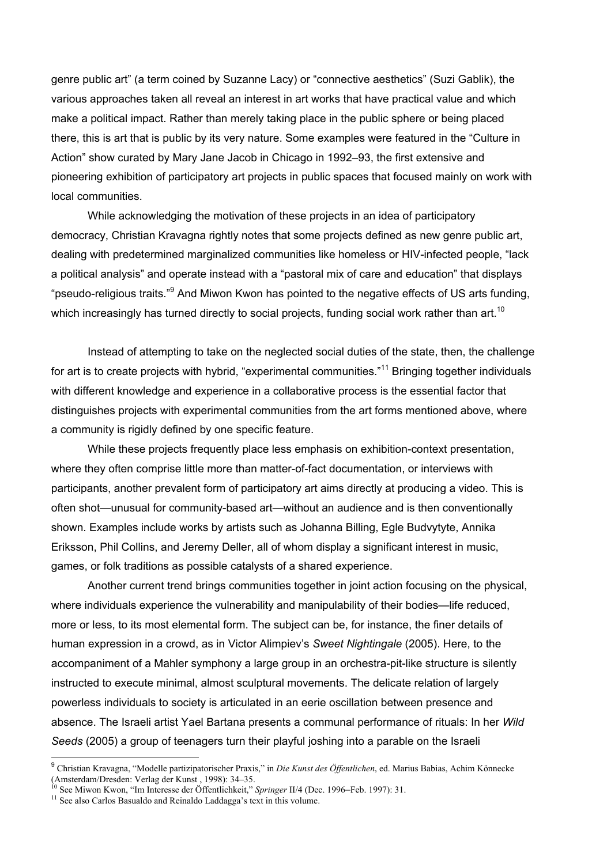genre public art" (a term coined by Suzanne Lacy) or "connective aesthetics" (Suzi Gablik), the various approaches taken all reveal an interest in art works that have practical value and which make a political impact. Rather than merely taking place in the public sphere or being placed there, this is art that is public by its very nature. Some examples were featured in the "Culture in Action" show curated by Mary Jane Jacob in Chicago in 1992–93, the first extensive and pioneering exhibition of participatory art projects in public spaces that focused mainly on work with local communities.

While acknowledging the motivation of these projects in an idea of participatory democracy, Christian Kravagna rightly notes that some projects defined as new genre public art, dealing with predetermined marginalized communities like homeless or HIV-infected people, "lack a political analysis" and operate instead with a "pastoral mix of care and education" that displays "pseudo-religious traits."<sup>9</sup> And Miwon Kwon has pointed to the negative effects of US arts funding, which increasingly has turned directly to social projects, funding social work rather than art.<sup>10</sup>

Instead of attempting to take on the neglected social duties of the state, then, the challenge for art is to create projects with hybrid, "experimental communities."<sup>11</sup> Bringing together individuals with different knowledge and experience in a collaborative process is the essential factor that distinguishes projects with experimental communities from the art forms mentioned above, where a community is rigidly defined by one specific feature.

While these projects frequently place less emphasis on exhibition-context presentation, where they often comprise little more than matter-of-fact documentation, or interviews with participants, another prevalent form of participatory art aims directly at producing a video. This is often shot—unusual for community-based art—without an audience and is then conventionally shown. Examples include works by artists such as Johanna Billing, Egle Budvytyte, Annika Eriksson, Phil Collins, and Jeremy Deller, all of whom display a significant interest in music, games, or folk traditions as possible catalysts of a shared experience.

Another current trend brings communities together in joint action focusing on the physical, where individuals experience the vulnerability and manipulability of their bodies—life reduced, more or less, to its most elemental form. The subject can be, for instance, the finer details of human expression in a crowd, as in Victor Alimpiev's *Sweet Nightingale* (2005). Here, to the accompaniment of a Mahler symphony a large group in an orchestra-pit-like structure is silently instructed to execute minimal, almost sculptural movements. The delicate relation of largely powerless individuals to society is articulated in an eerie oscillation between presence and absence. The Israeli artist Yael Bartana presents a communal performance of rituals: In her *Wild Seeds* (2005) a group of teenagers turn their playful joshing into a parable on the Israeli

 <sup>9</sup> Christian Kravagna, "Modelle partizipatorischer Praxis," in *Die Kunst des Öffentlichen*, ed. Marius Babias, Achim Könnecke (Amsterdam/Dresden: Verlag der Kunst, 1998): 34–35.<br><sup>10</sup> See Miwon Kwon, "Im Interesse der Öffentlichkeit," *Springer* II/4 (Dec. 1996–Feb. 1997): 31.<br><sup>11</sup> See else Gerlag Beauglde and Beinalde Leddages's taut in this volu

 $^{11}$  See also Carlos Basualdo and Reinaldo Laddagga's text in this volume.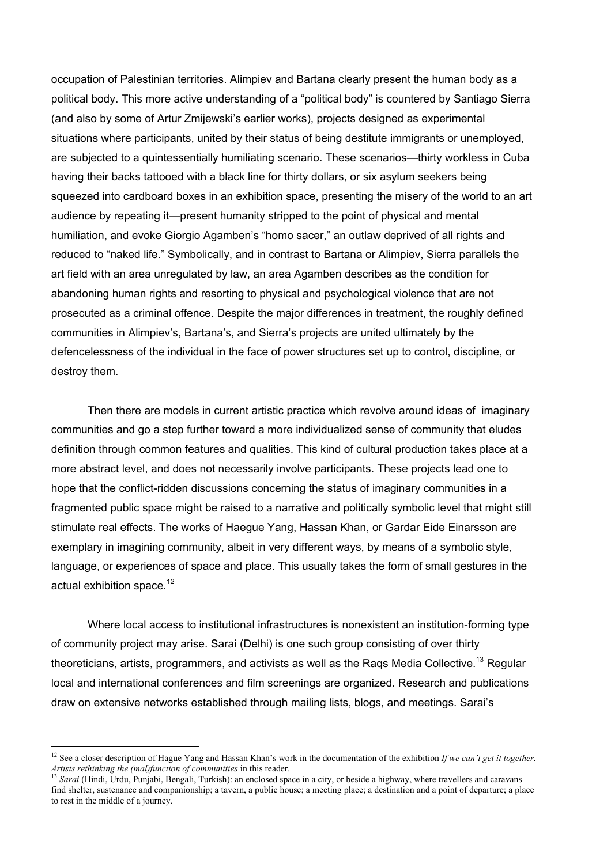occupation of Palestinian territories. Alimpiev and Bartana clearly present the human body as a political body. This more active understanding of a "political body" is countered by Santiago Sierra (and also by some of Artur Zmijewski's earlier works), projects designed as experimental situations where participants, united by their status of being destitute immigrants or unemployed, are subjected to a quintessentially humiliating scenario. These scenarios—thirty workless in Cuba having their backs tattooed with a black line for thirty dollars, or six asylum seekers being squeezed into cardboard boxes in an exhibition space, presenting the misery of the world to an art audience by repeating it—present humanity stripped to the point of physical and mental humiliation, and evoke Giorgio Agamben's "homo sacer," an outlaw deprived of all rights and reduced to "naked life." Symbolically, and in contrast to Bartana or Alimpiev, Sierra parallels the art field with an area unregulated by law, an area Agamben describes as the condition for abandoning human rights and resorting to physical and psychological violence that are not prosecuted as a criminal offence. Despite the major differences in treatment, the roughly defined communities in Alimpiev's, Bartana's, and Sierra's projects are united ultimately by the defencelessness of the individual in the face of power structures set up to control, discipline, or destroy them.

Then there are models in current artistic practice which revolve around ideas of imaginary communities and go a step further toward a more individualized sense of community that eludes definition through common features and qualities. This kind of cultural production takes place at a more abstract level, and does not necessarily involve participants. These projects lead one to hope that the conflict-ridden discussions concerning the status of imaginary communities in a fragmented public space might be raised to a narrative and politically symbolic level that might still stimulate real effects. The works of Haegue Yang, Hassan Khan, or Gardar Eide Einarsson are exemplary in imagining community, albeit in very different ways, by means of a symbolic style, language, or experiences of space and place. This usually takes the form of small gestures in the actual exhibition space. $12$ 

Where local access to institutional infrastructures is nonexistent an institution-forming type of community project may arise. Sarai (Delhi) is one such group consisting of over thirty theoreticians, artists, programmers, and activists as well as the Raqs Media Collective.<sup>13</sup> Regular local and international conferences and film screenings are organized. Research and publications draw on extensive networks established through mailing lists, blogs, and meetings. Sarai's

12 See a closer description of Hague Yang and Hassan Khan's work in the documentation of the exhibition *If we can't get it together. Artists rethinking the (mal)function of communities* in this reader.<br><sup>13</sup> *Sarai* (Hindi, Urdu, Punjabi, Bengali, Turkish): an enclosed space in a city, or beside a highway, where travellers and caravans

find shelter, sustenance and companionship; a tavern, a public house; a meeting place; a destination and a point of departure; a place to rest in the middle of a journey.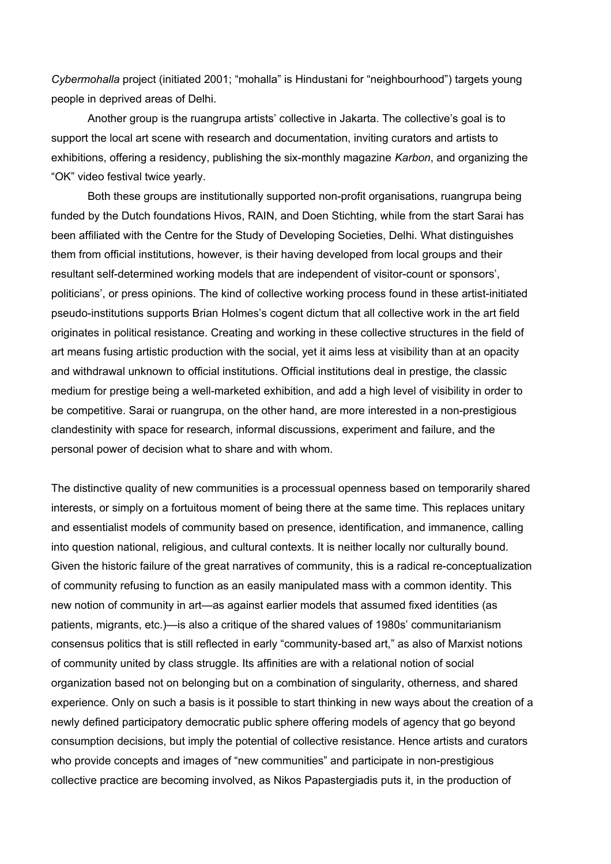*Cybermohalla* project (initiated 2001; "mohalla" is Hindustani for "neighbourhood") targets young people in deprived areas of Delhi.

Another group is the ruangrupa artists' collective in Jakarta. The collective's goal is to support the local art scene with research and documentation, inviting curators and artists to exhibitions, offering a residency, publishing the six-monthly magazine *Karbon*, and organizing the "OK" video festival twice yearly.

Both these groups are institutionally supported non-profit organisations, ruangrupa being funded by the Dutch foundations Hivos, RAIN, and Doen Stichting, while from the start Sarai has been affiliated with the Centre for the Study of Developing Societies, Delhi. What distinguishes them from official institutions, however, is their having developed from local groups and their resultant self-determined working models that are independent of visitor-count or sponsors', politicians', or press opinions. The kind of collective working process found in these artist-initiated pseudo-institutions supports Brian Holmes's cogent dictum that all collective work in the art field originates in political resistance. Creating and working in these collective structures in the field of art means fusing artistic production with the social, yet it aims less at visibility than at an opacity and withdrawal unknown to official institutions. Official institutions deal in prestige, the classic medium for prestige being a well-marketed exhibition, and add a high level of visibility in order to be competitive. Sarai or ruangrupa, on the other hand, are more interested in a non-prestigious clandestinity with space for research, informal discussions, experiment and failure, and the personal power of decision what to share and with whom.

The distinctive quality of new communities is a processual openness based on temporarily shared interests, or simply on a fortuitous moment of being there at the same time. This replaces unitary and essentialist models of community based on presence, identification, and immanence, calling into question national, religious, and cultural contexts. It is neither locally nor culturally bound. Given the historic failure of the great narratives of community, this is a radical re-conceptualization of community refusing to function as an easily manipulated mass with a common identity. This new notion of community in art—as against earlier models that assumed fixed identities (as patients, migrants, etc.)—is also a critique of the shared values of 1980s' communitarianism consensus politics that is still reflected in early "community-based art," as also of Marxist notions of community united by class struggle. Its affinities are with a relational notion of social organization based not on belonging but on a combination of singularity, otherness, and shared experience. Only on such a basis is it possible to start thinking in new ways about the creation of a newly defined participatory democratic public sphere offering models of agency that go beyond consumption decisions, but imply the potential of collective resistance. Hence artists and curators who provide concepts and images of "new communities" and participate in non-prestigious collective practice are becoming involved, as Nikos Papastergiadis puts it, in the production of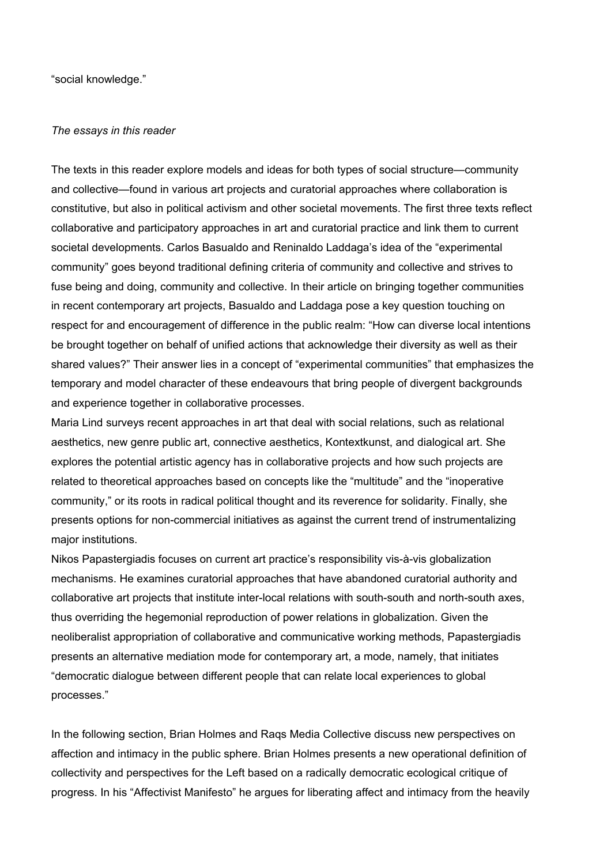"social knowledge."

# *The essays in this reader*

The texts in this reader explore models and ideas for both types of social structure—community and collective—found in various art projects and curatorial approaches where collaboration is constitutive, but also in political activism and other societal movements. The first three texts reflect collaborative and participatory approaches in art and curatorial practice and link them to current societal developments. Carlos Basualdo and Reninaldo Laddaga's idea of the "experimental community" goes beyond traditional defining criteria of community and collective and strives to fuse being and doing, community and collective. In their article on bringing together communities in recent contemporary art projects, Basualdo and Laddaga pose a key question touching on respect for and encouragement of difference in the public realm: "How can diverse local intentions be brought together on behalf of unified actions that acknowledge their diversity as well as their shared values?" Their answer lies in a concept of "experimental communities" that emphasizes the temporary and model character of these endeavours that bring people of divergent backgrounds and experience together in collaborative processes.

Maria Lind surveys recent approaches in art that deal with social relations, such as relational aesthetics, new genre public art, connective aesthetics, Kontextkunst, and dialogical art. She explores the potential artistic agency has in collaborative projects and how such projects are related to theoretical approaches based on concepts like the "multitude" and the "inoperative community," or its roots in radical political thought and its reverence for solidarity. Finally, she presents options for non-commercial initiatives as against the current trend of instrumentalizing major institutions.

Nikos Papastergiadis focuses on current art practice's responsibility vis-à-vis globalization mechanisms. He examines curatorial approaches that have abandoned curatorial authority and collaborative art projects that institute inter-local relations with south-south and north-south axes, thus overriding the hegemonial reproduction of power relations in globalization. Given the neoliberalist appropriation of collaborative and communicative working methods, Papastergiadis presents an alternative mediation mode for contemporary art, a mode, namely, that initiates "democratic dialogue between different people that can relate local experiences to global processes."

In the following section, Brian Holmes and Raqs Media Collective discuss new perspectives on affection and intimacy in the public sphere. Brian Holmes presents a new operational definition of collectivity and perspectives for the Left based on a radically democratic ecological critique of progress. In his "Affectivist Manifesto" he argues for liberating affect and intimacy from the heavily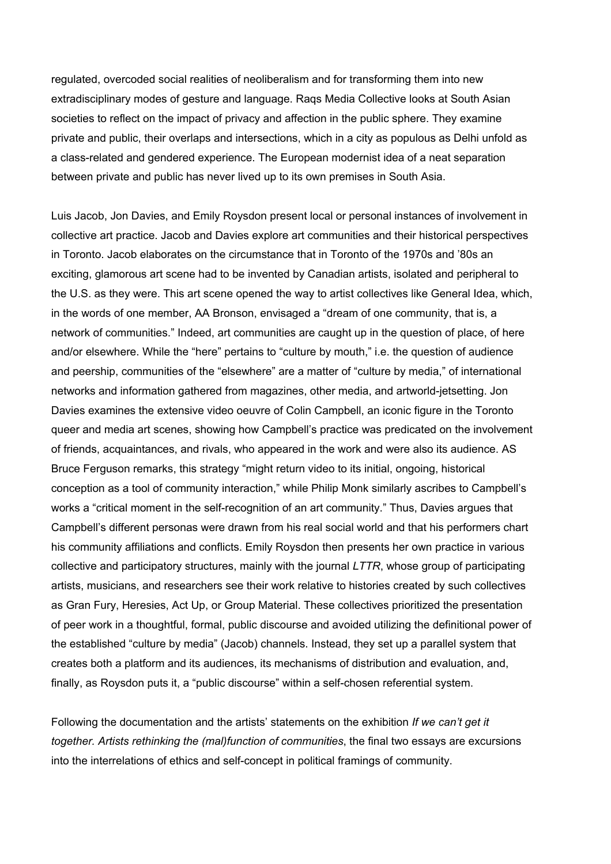regulated, overcoded social realities of neoliberalism and for transforming them into new extradisciplinary modes of gesture and language. Raqs Media Collective looks at South Asian societies to reflect on the impact of privacy and affection in the public sphere. They examine private and public, their overlaps and intersections, which in a city as populous as Delhi unfold as a class-related and gendered experience. The European modernist idea of a neat separation between private and public has never lived up to its own premises in South Asia.

Luis Jacob, Jon Davies, and Emily Roysdon present local or personal instances of involvement in collective art practice. Jacob and Davies explore art communities and their historical perspectives in Toronto. Jacob elaborates on the circumstance that in Toronto of the 1970s and '80s an exciting, glamorous art scene had to be invented by Canadian artists, isolated and peripheral to the U.S. as they were. This art scene opened the way to artist collectives like General Idea, which, in the words of one member, AA Bronson, envisaged a "dream of one community, that is, a network of communities." Indeed, art communities are caught up in the question of place, of here and/or elsewhere. While the "here" pertains to "culture by mouth," i.e. the question of audience and peership, communities of the "elsewhere" are a matter of "culture by media," of international networks and information gathered from magazines, other media, and artworld-jetsetting. Jon Davies examines the extensive video oeuvre of Colin Campbell, an iconic figure in the Toronto queer and media art scenes, showing how Campbell's practice was predicated on the involvement of friends, acquaintances, and rivals, who appeared in the work and were also its audience. AS Bruce Ferguson remarks, this strategy "might return video to its initial, ongoing, historical conception as a tool of community interaction," while Philip Monk similarly ascribes to Campbell's works a "critical moment in the self-recognition of an art community." Thus, Davies argues that Campbell's different personas were drawn from his real social world and that his performers chart his community affiliations and conflicts. Emily Roysdon then presents her own practice in various collective and participatory structures, mainly with the journal *LTTR*, whose group of participating artists, musicians, and researchers see their work relative to histories created by such collectives as Gran Fury, Heresies, Act Up, or Group Material. These collectives prioritized the presentation of peer work in a thoughtful, formal, public discourse and avoided utilizing the definitional power of the established "culture by media" (Jacob) channels. Instead, they set up a parallel system that creates both a platform and its audiences, its mechanisms of distribution and evaluation, and, finally, as Roysdon puts it, a "public discourse" within a self-chosen referential system.

Following the documentation and the artists' statements on the exhibition *If we can't get it together. Artists rethinking the (mal)function of communities*, the final two essays are excursions into the interrelations of ethics and self-concept in political framings of community.